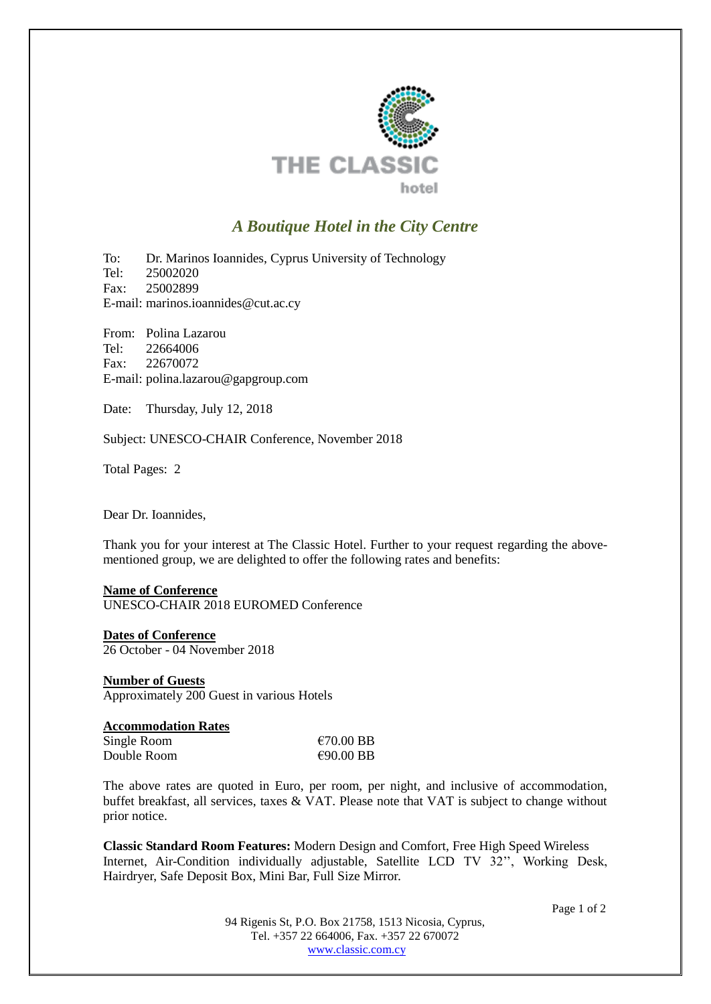

# *A Boutique Hotel in the City Centre*

To: Dr. Marinos Ioannides, Cyprus University of Technology Tel: 25002020 Fax: 25002899 E-mail: marinos.ioannides@cut.ac.cy

From: Polina Lazarou Tel: 22664006 Fax: 22670072 E-mail: polina.lazarou@gapgroup.com

Date: Thursday, July 12, 2018

Subject: UNESCO-CHAIR Conference, November 2018

Total Pages: 2

Dear Dr. Ioannides,

Thank you for your interest at The Classic Hotel. Further to your request regarding the abovementioned group, we are delighted to offer the following rates and benefits:

#### **Name of Conference** UNESCO-CHAIR 2018 EUROMED Conference

**Dates of Conference** 26 October - 04 November 2018

#### **Number of Guests** Approximately 200 Guest in various Hotels

| <b>Accommodation Rates</b> |                     |
|----------------------------|---------------------|
| Single Room                | $\epsilon$ 70.00 BB |
| Double Room                | $\epsilon$ 90.00 BB |

The above rates are quoted in Euro, per room, per night, and inclusive of accommodation, buffet breakfast, all services, taxes & VAT. Please note that VAT is subject to change without prior notice.

**Classic Standard Room Features:** Modern Design and Comfort, Free High Speed Wireless Internet, Air-Condition individually adjustable, Satellite LCD TV 32'', Working Desk, Hairdryer, Safe Deposit Box, Mini Bar, Full Size Mirror.

Page 1 of 2

94 Rigenis St, P.O. Box 21758, 1513 Nicosia, Cyprus, Tel. +357 22 664006, Fax. +357 22 670072 [www.classic.com.cy](http://www.classic.com.cy/)